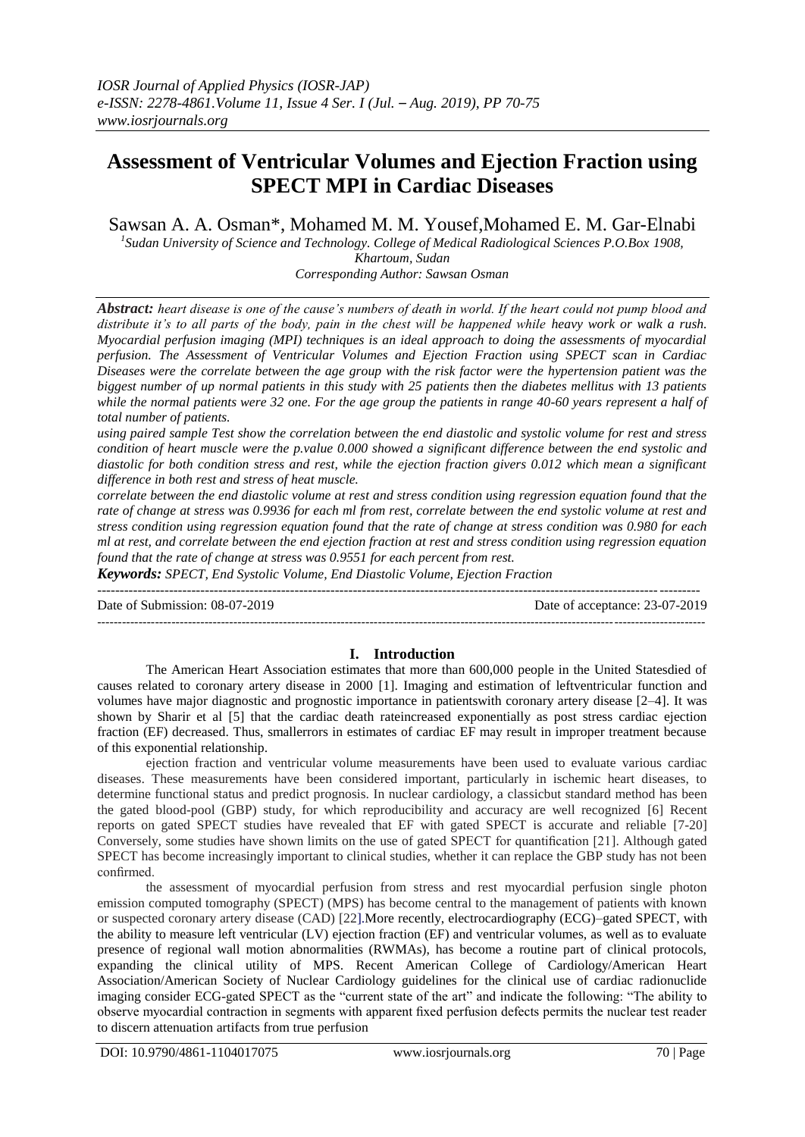# **Assessment of Ventricular Volumes and Ejection Fraction using SPECT MPI in Cardiac Diseases**

Sawsan A. A. Osman\*, Mohamed M. M. Yousef,Mohamed E. M. Gar-Elnabi

*1 Sudan University of Science and Technology. College of Medical Radiological Sciences P.O.Box 1908, Khartoum, Sudan*

*Corresponding Author: Sawsan Osman*

*Abstract: heart disease is one of the cause's numbers of death in world. If the heart could not pump blood and distribute it's to all parts of the body, pain in the chest will be happened while heavy work or walk a rush. Myocardial perfusion imaging (MPI) techniques is an ideal approach to doing the assessments of myocardial perfusion. The Assessment of Ventricular Volumes and Ejection Fraction using SPECT scan in Cardiac Diseases were the correlate between the age group with the risk factor were the hypertension patient was the biggest number of up normal patients in this study with 25 patients then the diabetes mellitus with 13 patients while the normal patients were 32 one. For the age group the patients in range 40-60 years represent a half of total number of patients.*

*using paired sample Test show the correlation between the end diastolic and systolic volume for rest and stress condition of heart muscle were the p.value 0.000 showed a significant difference between the end systolic and diastolic for both condition stress and rest, while the ejection fraction givers 0.012 which mean a significant difference in both rest and stress of heat muscle.*

*correlate between the end diastolic volume at rest and stress condition using regression equation found that the rate of change at stress was 0.9936 for each ml from rest, correlate between the end systolic volume at rest and stress condition using regression equation found that the rate of change at stress condition was 0.980 for each ml at rest, and correlate between the end ejection fraction at rest and stress condition using regression equation found that the rate of change at stress was 0.9551 for each percent from rest.*

*Keywords: SPECT, End Systolic Volume, End Diastolic Volume, Ejection Fraction*  $-1.1$ 

Date of Submission: 08-07-2019 Date of acceptance: 23-07-2019

### **I. Introduction**

---------------------------------------------------------------------------------------------------------------------------------------------------

The American Heart Association estimates that more than 600,000 people in the United Statesdied of causes related to coronary artery disease in 2000 [1]. Imaging and estimation of leftventricular function and volumes have major diagnostic and prognostic importance in patientswith coronary artery disease [2–4]. It was shown by Sharir et al [5] that the cardiac death rateincreased exponentially as post stress cardiac ejection fraction (EF) decreased. Thus, smallerrors in estimates of cardiac EF may result in improper treatment because of this exponential relationship.

ejection fraction and ventricular volume measurements have been used to evaluate various cardiac diseases. These measurements have been considered important, particularly in ischemic heart diseases, to determine functional status and predict prognosis. In nuclear cardiology, a classicbut standard method has been the gated blood-pool (GBP) study, for which reproducibility and accuracy are well recognized [6] Recent reports on gated SPECT studies have revealed that EF with gated SPECT is accurate and reliable [7-20] Conversely, some studies have shown limits on the use of gated SPECT for quantification [21]. Although gated SPECT has become increasingly important to clinical studies, whether it can replace the GBP study has not been confirmed.

the assessment of myocardial perfusion from stress and rest myocardial perfusion single photon emission computed tomography (SPECT) (MPS) has become central to the management of patients with known or suspected coronary artery disease (CAD) [22].More recently, electrocardiography (ECG)–gated SPECT, with the ability to measure left ventricular (LV) ejection fraction (EF) and ventricular volumes, as well as to evaluate presence of regional wall motion abnormalities (RWMAs), has become a routine part of clinical protocols, expanding the clinical utility of MPS. Recent American College of Cardiology/American Heart Association/American Society of Nuclear Cardiology guidelines for the clinical use of cardiac radionuclide imaging consider ECG-gated SPECT as the "current state of the art" and indicate the following: "The ability to observe myocardial contraction in segments with apparent fixed perfusion defects permits the nuclear test reader to discern attenuation artifacts from true perfusion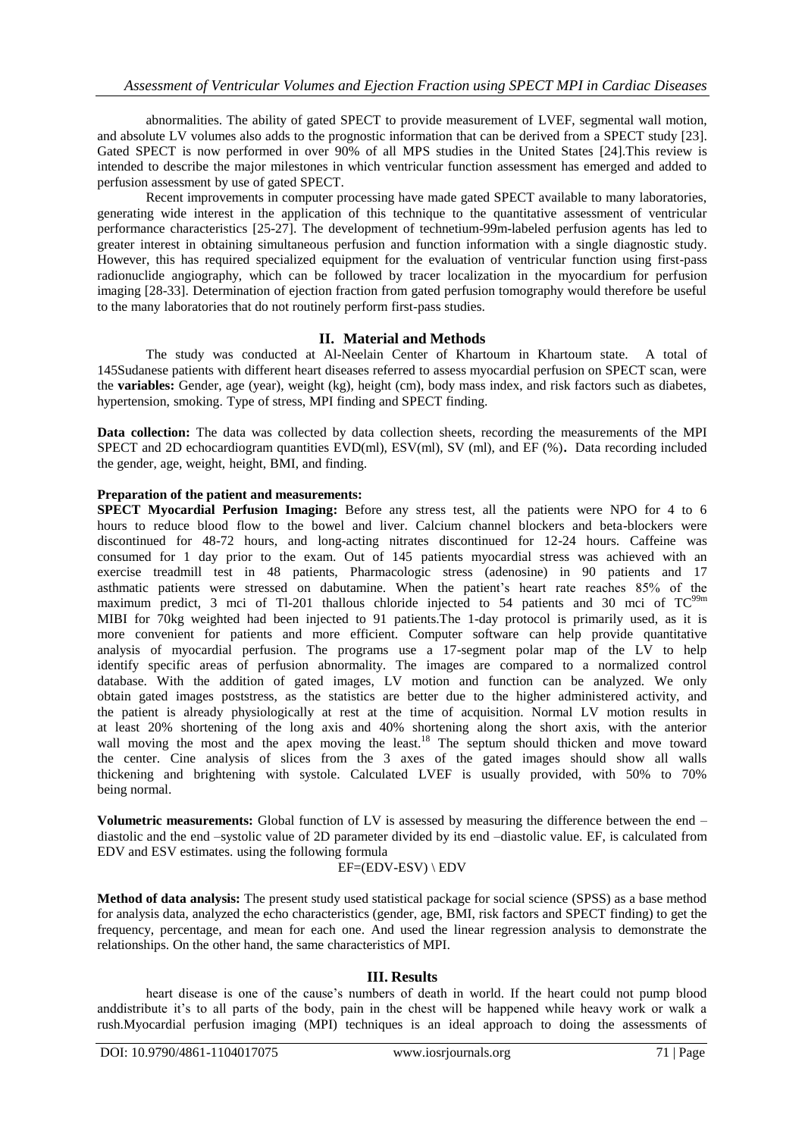abnormalities. The ability of gated SPECT to provide measurement of LVEF, segmental wall motion, and absolute LV volumes also adds to the prognostic information that can be derived from a SPECT study [23]. Gated SPECT is now performed in over 90% of all MPS studies in the United States [24].This review is intended to describe the major milestones in which ventricular function assessment has emerged and added to perfusion assessment by use of gated SPECT.

Recent improvements in computer processing have made gated SPECT available to many laboratories, generating wide interest in the application of this technique to the quantitative assessment of ventricular performance characteristics [25-27]. The development of technetium-99m-labeled perfusion agents has led to greater interest in obtaining simultaneous perfusion and function information with a single diagnostic study. However, this has required specialized equipment for the evaluation of ventricular function using first-pass radionuclide angiography, which can be followed by tracer localization in the myocardium for perfusion imaging [28-33]. Determination of ejection fraction from gated perfusion tomography would therefore be useful to the many laboratories that do not routinely perform first-pass studies.

### **II. Material and Methods**

The study was conducted at Al-Neelain Center of Khartoum in Khartoum state. A total of 145Sudanese patients with different heart diseases referred to assess myocardial perfusion on SPECT scan, were the **variables:** Gender, age (year), weight (kg), height (cm), body mass index, and risk factors such as diabetes, hypertension, smoking. Type of stress, MPI finding and SPECT finding.

Data collection: The data was collected by data collection sheets, recording the measurements of the MPI SPECT and 2D echocardiogram quantities EVD(ml), ESV(ml), SV (ml), and EF (%)**.** Data recording included the gender, age, weight, height, BMI, and finding.

### **Preparation of the patient and measurements:**

**SPECT Myocardial Perfusion Imaging:** Before any stress test, all the patients were NPO for 4 to 6 hours to reduce blood flow to the bowel and liver. Calcium channel blockers and beta-blockers were discontinued for 48-72 hours, and long-acting nitrates discontinued for 12-24 hours. Caffeine was consumed for 1 day prior to the exam. Out of 145 patients myocardial stress was achieved with an exercise treadmill test in 48 patients, Pharmacologic stress (adenosine) in 90 patients and 17 asthmatic patients were stressed on dabutamine. When the patient's heart rate reaches 85% of the maximum predict, 3 mci of Tl-201 thallous chloride injected to 54 patients and 30 mci of  $TC^{99m}$ MIBI for 70kg weighted had been injected to 91 patients.The 1-day protocol is primarily used, as it is more convenient for patients and more efficient. Computer software can help provide quantitative analysis of myocardial perfusion. The programs use a 17-segment polar map of the LV to help identify specific areas of perfusion abnormality. The images are compared to a normalized control database. With the addition of gated images, LV motion and function can be analyzed. We only obtain gated images poststress, as the statistics are better due to the higher administered activity, and the patient is already physiologically at rest at the time of acquisition. Normal LV motion results in at least 20% shortening of the long axis and 40% shortening along the short axis, with the anterior wall moving the most and the apex moving the least.<sup>18</sup> The septum should thicken and move toward the center. Cine analysis of slices from the 3 axes of the gated images should show all walls thickening and brightening with systole. Calculated LVEF is usually provided, with 50% to 70% being normal.

**Volumetric measurements:** Global function of LV is assessed by measuring the difference between the end – diastolic and the end –systolic value of 2D parameter divided by its end –diastolic value. EF, is calculated from EDV and ESV estimates. using the following formula

## EF=(EDV-ESV) \ EDV

**Method of data analysis:** The present study used statistical package for social science (SPSS) as a base method for analysis data, analyzed the echo characteristics (gender, age, BMI, risk factors and SPECT finding) to get the frequency, percentage, and mean for each one. And used the linear regression analysis to demonstrate the relationships. On the other hand, the same characteristics of MPI.

### **III. Results**

heart disease is one of the cause's numbers of death in world. If the heart could not pump blood anddistribute it's to all parts of the body, pain in the chest will be happened while heavy work or walk a rush.Myocardial perfusion imaging (MPI) techniques is an ideal approach to doing the assessments of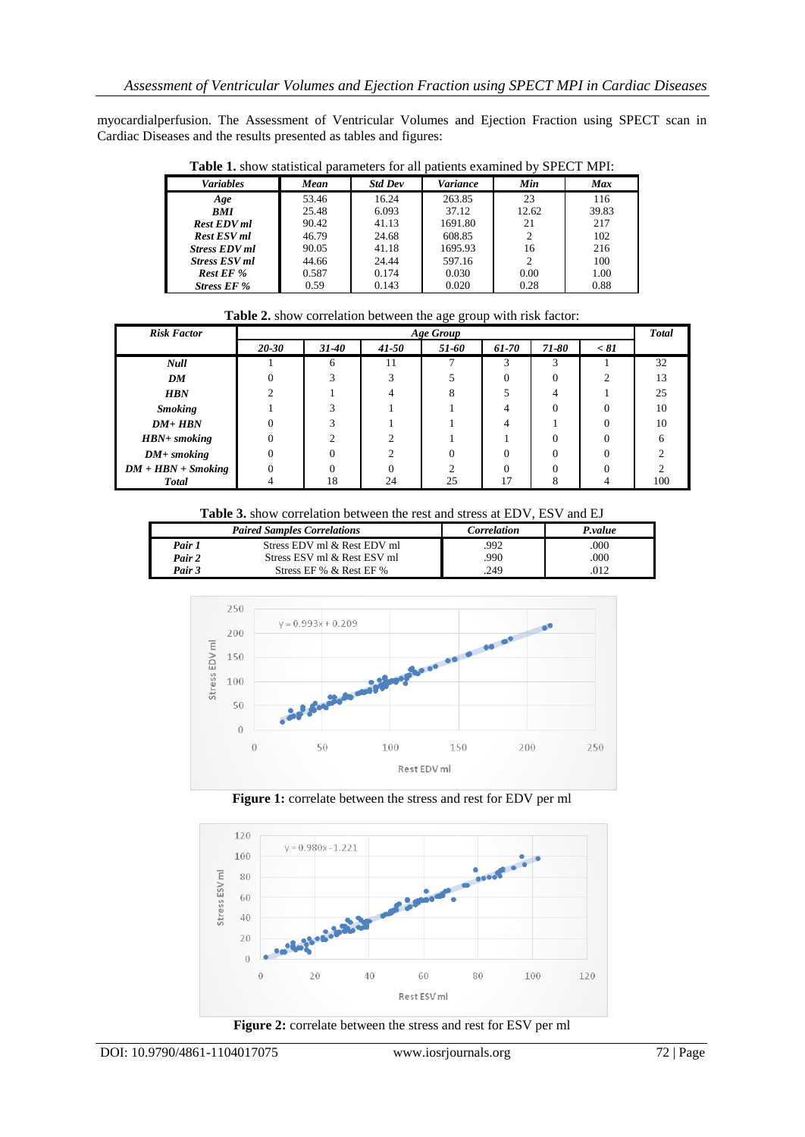myocardialperfusion. The Assessment of Ventricular Volumes and Ejection Fraction using SPECT scan in Cardiac Diseases and the results presented as tables and figures:

| <b>Table 1.</b> Show statistical parameters for all patients examined by St ECT IVII 1. |       |                |                 |       |            |  |  |  |
|-----------------------------------------------------------------------------------------|-------|----------------|-----------------|-------|------------|--|--|--|
| <b>Variables</b>                                                                        | Mean  | <b>Std Dev</b> | <b>Variance</b> | Min   | <b>Max</b> |  |  |  |
| Age                                                                                     | 53.46 | 16.24          | 263.85          | 23    | 116        |  |  |  |
| <b>BMI</b>                                                                              | 25.48 | 6.093          | 37.12           | 12.62 | 39.83      |  |  |  |
| <b>Rest EDV</b> ml                                                                      | 90.42 | 41.13          | 1691.80         | 21    | 217        |  |  |  |
| <b>Rest ESV ml</b>                                                                      | 46.79 | 24.68          | 608.85          |       | 102        |  |  |  |
| <b>Stress EDV ml</b>                                                                    | 90.05 | 41.18          | 1695.93         | 16    | 216        |  |  |  |
| <b>Stress ESV ml</b>                                                                    | 44.66 | 24.44          | 597.16          | 2     | 100        |  |  |  |
| <b>Rest EF %</b>                                                                        | 0.587 | 0.174          | 0.030           | 0.00  | 1.00       |  |  |  |
| <b>Stress EF %</b>                                                                      | 0.59  | 0.143          | 0.020           | 0.28  | 0.88       |  |  |  |

**Table 1.** show statistical parameters for all patients examined by SPECT MPI:

| Table 2. show correlation between the age group with risk factor: |  |  |  |  |
|-------------------------------------------------------------------|--|--|--|--|
|                                                                   |  |  |  |  |
|                                                                   |  |  |  |  |

| <b>Risk Factor</b>   | <b>Age Group</b> |           |           |       |       |          | <b>Total</b> |     |
|----------------------|------------------|-----------|-----------|-------|-------|----------|--------------|-----|
|                      | $20 - 30$        | $31 - 40$ | $41 - 50$ | 51-60 | 61-70 | 71-80    | < 81         |     |
| <b>Null</b>          |                  | 6         | 11        |       |       | 3        |              | 32  |
| DM                   |                  |           |           |       |       | $\theta$ | ◠            | 13  |
| <b>HBN</b>           |                  |           |           |       |       | 4        |              | 25  |
| <b>Smoking</b>       |                  |           |           |       |       | $\Omega$ |              | 10  |
| $DM + HBN$           |                  |           |           |       | 4     |          |              | 10  |
| $HBN+smoking$        |                  |           |           |       |       | $\Omega$ |              |     |
| $DM+$ smoking        |                  |           |           |       |       | $\Omega$ |              |     |
| $DM + HBN + Smoking$ |                  |           |           |       |       | $\Omega$ |              |     |
| <b>Total</b>         |                  | 18        | 24        | 25    |       | 8        |              | 100 |

**Table 3.** show correlation between the rest and stress at EDV, ESV and EJ

|        | <b>Paired Samples Correlations</b> | Correlation | P.value |  |
|--------|------------------------------------|-------------|---------|--|
| Pair 1 | Stress EDV ml & Rest EDV ml        | .992        | .000    |  |
| Pair 2 | Stress ESV ml & Rest ESV ml        | .990        | .000    |  |
| Pair 3 | Stress EF % & Rest EF %            | .249        | 012     |  |



**Figure 1:** correlate between the stress and rest for EDV per ml



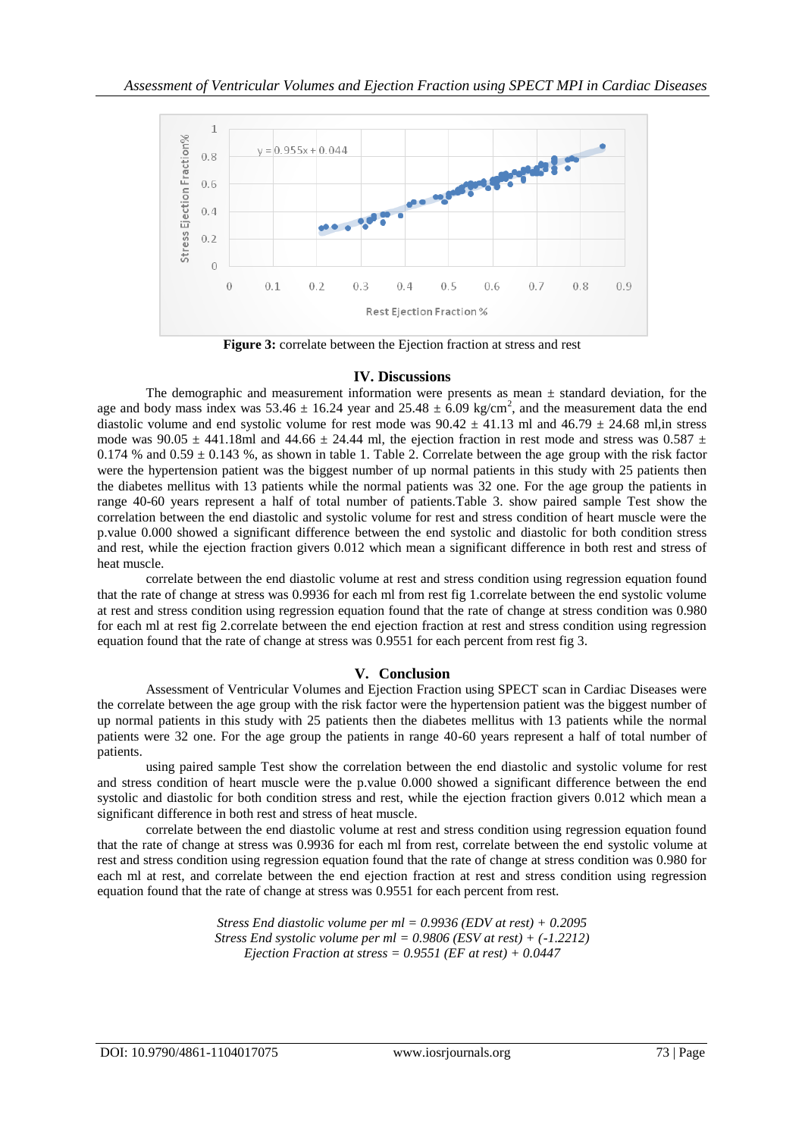

**Figure 3:** correlate between the Ejection fraction at stress and rest

### **IV. Discussions**

The demographic and measurement information were presents as mean  $\pm$  standard deviation, for the age and body mass index was  $53.46 \pm 16.24$  year and  $25.48 \pm 6.09$  kg/cm<sup>2</sup>, and the measurement data the end diastolic volume and end systolic volume for rest mode was  $90.42 \pm 41.13$  ml and  $46.79 \pm 24.68$  ml, in stress mode was  $90.05 \pm 441.18$ ml and  $44.66 \pm 24.44$  ml, the ejection fraction in rest mode and stress was  $0.587 \pm 1.18$ 0.174 % and  $0.59 \pm 0.143$  %, as shown in table 1. Table 2. Correlate between the age group with the risk factor were the hypertension patient was the biggest number of up normal patients in this study with 25 patients then the diabetes mellitus with 13 patients while the normal patients was 32 one. For the age group the patients in range 40-60 years represent a half of total number of patients.Table 3. show paired sample Test show the correlation between the end diastolic and systolic volume for rest and stress condition of heart muscle were the p.value 0.000 showed a significant difference between the end systolic and diastolic for both condition stress and rest, while the ejection fraction givers 0.012 which mean a significant difference in both rest and stress of heat muscle.

correlate between the end diastolic volume at rest and stress condition using regression equation found that the rate of change at stress was 0.9936 for each ml from rest fig 1.correlate between the end systolic volume at rest and stress condition using regression equation found that the rate of change at stress condition was 0.980 for each ml at rest fig 2.correlate between the end ejection fraction at rest and stress condition using regression equation found that the rate of change at stress was 0.9551 for each percent from rest fig 3.

### **V. Conclusion**

Assessment of Ventricular Volumes and Ejection Fraction using SPECT scan in Cardiac Diseases were the correlate between the age group with the risk factor were the hypertension patient was the biggest number of up normal patients in this study with 25 patients then the diabetes mellitus with 13 patients while the normal patients were 32 one. For the age group the patients in range 40-60 years represent a half of total number of patients.

using paired sample Test show the correlation between the end diastolic and systolic volume for rest and stress condition of heart muscle were the p.value 0.000 showed a significant difference between the end systolic and diastolic for both condition stress and rest, while the ejection fraction givers 0.012 which mean a significant difference in both rest and stress of heat muscle.

correlate between the end diastolic volume at rest and stress condition using regression equation found that the rate of change at stress was 0.9936 for each ml from rest, correlate between the end systolic volume at rest and stress condition using regression equation found that the rate of change at stress condition was 0.980 for each ml at rest, and correlate between the end ejection fraction at rest and stress condition using regression equation found that the rate of change at stress was 0.9551 for each percent from rest.

> *Stress End diastolic volume per ml = 0.9936 (EDV at rest) + 0.2095 Stress End systolic volume per ml = 0.9806 (ESV at rest) + (-1.2212) Ejection Fraction at stress = 0.9551 (EF at rest) + 0.0447*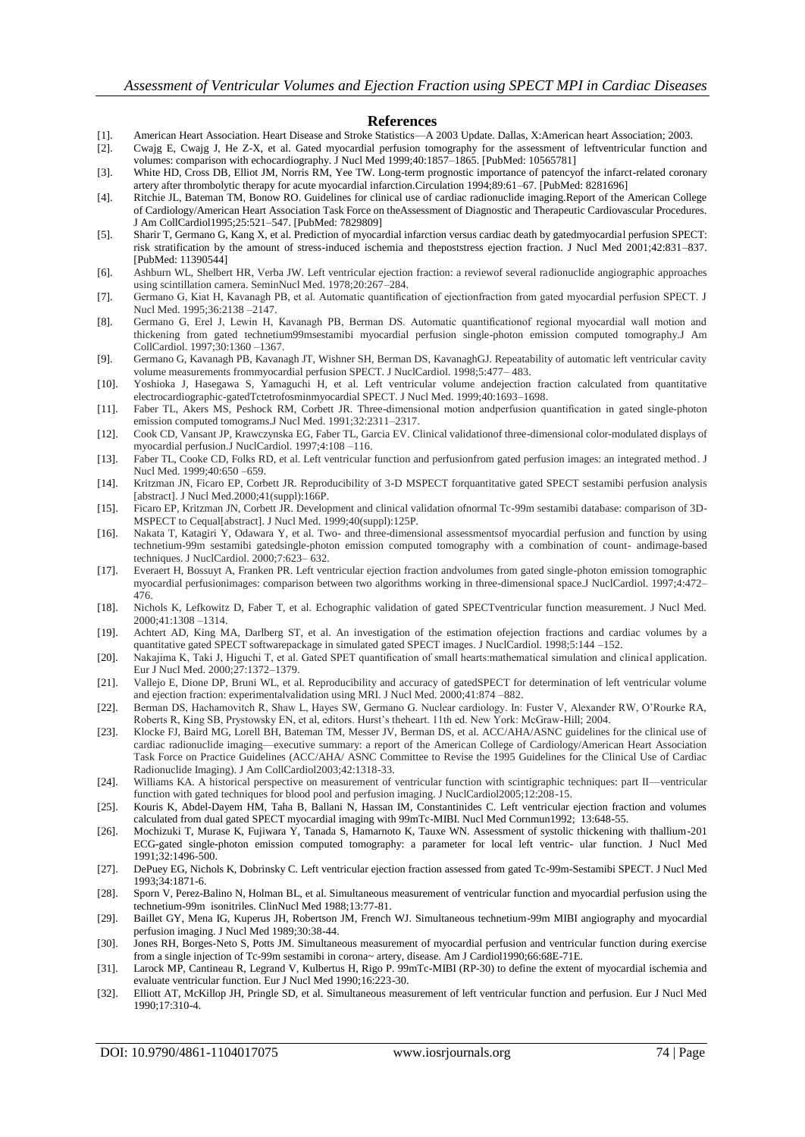#### **References**

- [1]. American Heart Association. Heart Disease and Stroke Statistics—A 2003 Update. Dallas, X:American heart Association; 2003.
- [2]. Cwajg E, Cwajg J, He Z-X, et al. Gated myocardial perfusion tomography for the assessment of leftventricular function and volumes: comparison with echocardiography. J Nucl Med 1999;40:1857–1865. [PubMed: 10565781]
- [3]. White HD, Cross DB, Elliot JM, Norris RM, Yee TW. Long-term prognostic importance of patencyof the infarct-related coronary artery after thrombolytic therapy for acute myocardial infarction.Circulation 1994;89:61–67. [PubMed: 8281696]
- [4]. Ritchie JL, Bateman TM, Bonow RO. Guidelines for clinical use of cardiac radionuclide imaging.Report of the American College of Cardiology/American Heart Association Task Force on theAssessment of Diagnostic and Therapeutic Cardiovascular Procedures. J Am CollCardiol1995;25:521–547. [PubMed: 7829809]
- [5]. Sharir T, Germano G, Kang X, et al. Prediction of myocardial infarction versus cardiac death by gatedmyocardial perfusion SPECT: risk stratification by the amount of stress-induced ischemia and thepoststress ejection fraction. J Nucl Med 2001;42:831–837. [PubMed: 11390544]
- [6]. Ashburn WL, Shelbert HR, Verba JW. Left ventricular ejection fraction: a reviewof several radionuclide angiographic approaches using scintillation camera. SeminNucl Med. 1978;20:267–284.
- [7]. Germano G, Kiat H, Kavanagh PB, et al. Automatic quantification of ejectionfraction from gated myocardial perfusion SPECT. J Nucl Med. 1995;36:2138 –2147.
- [8]. Germano G, Erel J, Lewin H, Kavanagh PB, Berman DS. Automatic quantificationof regional myocardial wall motion and thickening from gated technetium99msestamibi myocardial perfusion single-photon emission computed tomography.J Am CollCardiol. 1997;30:1360 –1367.
- [9]. Germano G, Kavanagh PB, Kavanagh JT, Wishner SH, Berman DS, KavanaghGJ. Repeatability of automatic left ventricular cavity volume measurements frommyocardial perfusion SPECT. J NuclCardiol. 1998;5:477– 483.
- [10]. Yoshioka J, Hasegawa S, Yamaguchi H, et al. Left ventricular volume andejection fraction calculated from quantitative electrocardiographic-gatedTctetrofosminmyocardial SPECT. J Nucl Med. 1999;40:1693–1698.
- [11]. Faber TL, Akers MS, Peshock RM, Corbett JR. Three-dimensional motion andperfusion quantification in gated single-photon emission computed tomograms.J Nucl Med. 1991;32:2311–2317.
- [12]. Cook CD, Vansant JP, Krawczynska EG, Faber TL, Garcia EV. Clinical validationof three-dimensional color-modulated displays of myocardial perfusion.J NuclCardiol. 1997;4:108 –116.
- [13]. Faber TL, Cooke CD, Folks RD, et al. Left ventricular function and perfusionfrom gated perfusion images: an integrated method. J Nucl Med. 1999;40:650 –659.
- [14]. Kritzman JN, Ficaro EP, Corbett JR. Reproducibility of 3-D MSPECT forquantitative gated SPECT sestamibi perfusion analysis [abstract]. J Nucl Med.2000;41(suppl):166P.
- [15]. Ficaro EP, Kritzman JN, Corbett JR. Development and clinical validation ofnormal Tc-99m sestamibi database: comparison of 3D-MSPECT to Cequal[abstract]. J Nucl Med. 1999;40(suppl):125P.
- [16]. Nakata T, Katagiri Y, Odawara Y, et al. Two- and three-dimensional assessmentsof myocardial perfusion and function by using technetium-99m sestamibi gatedsingle-photon emission computed tomography with a combination of count- andimage-based techniques. J NuclCardiol. 2000;7:623– 632.
- [17]. Everaert H, Bossuyt A, Franken PR. Left ventricular ejection fraction andvolumes from gated single-photon emission tomographic myocardial perfusionimages: comparison between two algorithms working in three-dimensional space.J NuclCardiol. 1997;4:472– 476.
- [18]. Nichols K, Lefkowitz D, Faber T, et al. Echographic validation of gated SPECTventricular function measurement. J Nucl Med. 2000;41:1308 –1314.
- [19]. Achtert AD, King MA, Darlberg ST, et al. An investigation of the estimation ofejection fractions and cardiac volumes by a quantitative gated SPECT softwarepackage in simulated gated SPECT images. J NuclCardiol. 1998;5:144 –152.
- [20]. Nakajima K, Taki J, Higuchi T, et al. Gated SPET quantification of small hearts:mathematical simulation and clinical application. Eur J Nucl Med. 2000;27:1372–1379.
- [21]. Vallejo E, Dione DP, Bruni WL, et al. Reproducibility and accuracy of gatedSPECT for determination of left ventricular volume and ejection fraction: experimentalvalidation using MRI. J Nucl Med. 2000;41:874 –882.
- [22]. Berman DS, Hachamovitch R, Shaw L, Hayes SW, Germano G. Nuclear cardiology. In: Fuster V, Alexander RW, O'Rourke RA, Roberts R, King SB, Prystowsky EN, et al, editors. Hurst's theheart. 11th ed. New York: McGraw-Hill; 2004.
- [23]. Klocke FJ, Baird MG, Lorell BH, Bateman TM, Messer JV, Berman DS, et al. ACC/AHA/ASNC guidelines for the clinical use of cardiac radionuclide imaging—executive summary: a report of the American College of Cardiology/American Heart Association Task Force on Practice Guidelines (ACC/AHA/ ASNC Committee to Revise the 1995 Guidelines for the Clinical Use of Cardiac Radionuclide Imaging). J Am CollCardiol2003;42:1318-33.
- [24]. Williams KA. A historical perspective on measurement of ventricular function with scintigraphic techniques: part II—ventricular function with gated techniques for blood pool and perfusion imaging. J NuclCardiol2005;12:208-15.
- [25]. Kouris K, Abdel-Dayem HM, Taha B, Ballani N, Hassan IM, Constantinides C. Left ventricular ejection fraction and volumes calculated from dual gated SPECT myocardial imaging with 99mTc-MIBI. Nucl Med Cornmun1992; 13:648-55.
- [26]. Mochizuki T, Murase K, Fujiwara Y, Tanada S, Hamarnoto K, Tauxe WN. Assessment of systolic thickening with thallium-201 ECG-gated single-photon emission computed tomography: a parameter for local left ventric- ular function. J Nucl Med 1991;32:1496-500.
- [27]. DePuey EG, Nichols K, Dobrinsky C. Left ventricular ejection fraction assessed from gated Tc-99m-Sestamibi SPECT. J Nucl Med 1993;34:1871-6.
- [28]. Sporn V, Perez-Balino N, Holman BL, et al. Simultaneous measurement of ventricular function and myocardial perfusion using the technetium-99m isonitriles. ClinNucl Med 1988;13:77-81.
- [29]. Baillet GY, Mena IG, Kuperus JH, Robertson JM, French WJ. Simultaneous technetium-99m MIBI angiography and myocardial perfusion imaging. J Nucl Med 1989;30:38-44.
- [30]. Jones RH, Borges-Neto S, Potts JM. Simultaneous measurement of myocardial perfusion and ventricular function during exercise from a single injection of Tc-99m sestamibi in corona~ artery, disease. Am J Cardiol1990;66:68E-71E.
- [31]. Larock MP, Cantineau R, Legrand V, Kulbertus H, Rigo P. 99mTc-MIBI (RP-30) to define the extent of myocardial ischemia and evaluate ventricular function. Eur J Nucl Med 1990;16:223-30.
- [32]. Elliott AT, McKillop JH, Pringle SD, et al. Simultaneous measurement of left ventricular function and perfusion. Eur J Nucl Med 1990;17:310-4.